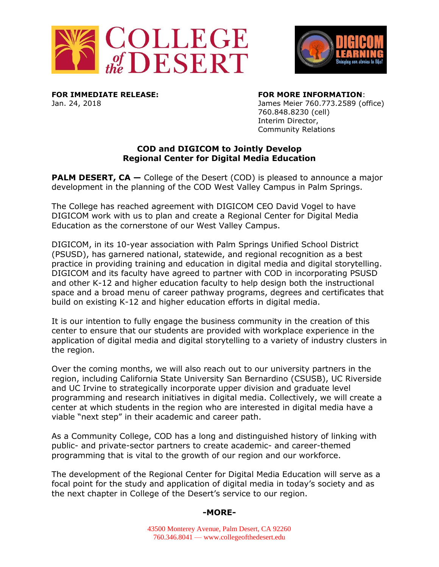



**FOR IMMEDIATE RELEASE: FOR MORE INFORMATION**:

Jan. 24, 2018 James Meier 760.773.2589 (office) 760.848.8230 (cell) Interim Director, Community Relations

## **COD and DIGICOM to Jointly Develop Regional Center for Digital Media Education**

**PALM DESERT, CA –** College of the Desert (COD) is pleased to announce a major development in the planning of the COD West Valley Campus in Palm Springs.

The College has reached agreement with DIGICOM CEO David Vogel to have DIGICOM work with us to plan and create a Regional Center for Digital Media Education as the cornerstone of our West Valley Campus.

DIGICOM, in its 10-year association with Palm Springs Unified School District (PSUSD), has garnered national, statewide, and regional recognition as a best practice in providing training and education in digital media and digital storytelling. DIGICOM and its faculty have agreed to partner with COD in incorporating PSUSD and other K-12 and higher education faculty to help design both the instructional space and a broad menu of career pathway programs, degrees and certificates that build on existing K-12 and higher education efforts in digital media.

It is our intention to fully engage the business community in the creation of this center to ensure that our students are provided with workplace experience in the application of digital media and digital storytelling to a variety of industry clusters in the region.

Over the coming months, we will also reach out to our university partners in the region, including California State University San Bernardino (CSUSB), UC Riverside and UC Irvine to strategically incorporate upper division and graduate level programming and research initiatives in digital media. Collectively, we will create a center at which students in the region who are interested in digital media have a viable "next step" in their academic and career path.

As a Community College, COD has a long and distinguished history of linking with public- and private-sector partners to create academic- and career-themed programming that is vital to the growth of our region and our workforce.

The development of the Regional Center for Digital Media Education will serve as a focal point for the study and application of digital media in today's society and as the next chapter in College of the Desert's service to our region.

## **-MORE-**